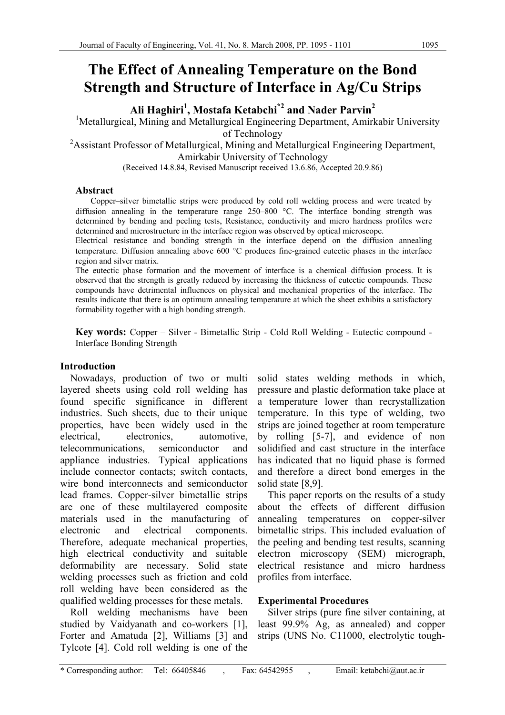# **The Effect of Annealing Temperature on the Bond Strength and Structure of Interface in Ag/Cu Strips**

**Ali Haghiri1 , Mostafa Ketabchi\*2 and Nader Parvin2**

<sup>1</sup>Metallurgical, Mining and Metallurgical Engineering Department, Amirkabir University of Technology

<sup>2</sup> Assistant Professor of Metallurgical, Mining and Metallurgical Engineering Department, Amirkabir University of Technology

(Received 14.8.84, Revised Manuscript received 13.6.86, Accepted 20.9.86)

# **Abstract**

Copper–silver bimetallic strips were produced by cold roll welding process and were treated by diffusion annealing in the temperature range 250–800 °C. The interface bonding strength was determined by bending and peeling tests, Resistance, conductivity and micro hardness profiles were determined and microstructure in the interface region was observed by optical microscope.

Electrical resistance and bonding strength in the interface depend on the diffusion annealing temperature. Diffusion annealing above 600 °C produces fine-grained eutectic phases in the interface region and silver matrix.

The eutectic phase formation and the movement of interface is a chemical–diffusion process. It is observed that the strength is greatly reduced by increasing the thickness of eutectic compounds. These compounds have detrimental influences on physical and mechanical properties of the interface. The results indicate that there is an optimum annealing temperature at which the sheet exhibits a satisfactory formability together with a high bonding strength.

**Key words:** Copper – Silver - Bimetallic Strip - Cold Roll Welding - Eutectic compound - Interface Bonding Strength

# **Introduction**

Nowadays, production of two or multi layered sheets using cold roll welding has found specific significance in different industries. Such sheets, due to their unique properties, have been widely used in the electrical, electronics, automotive, telecommunications, semiconductor and appliance industries. Typical applications include connector contacts; switch contacts, wire bond interconnects and semiconductor lead frames. Copper-silver bimetallic strips are one of these multilayered composite materials used in the manufacturing of electronic and electrical components. Therefore, adequate mechanical properties, high electrical conductivity and suitable deformability are necessary. Solid state welding processes such as friction and cold roll welding have been considered as the qualified welding processes for these metals.

Roll welding mechanisms have been studied by Vaidyanath and co-workers [1], Forter and Amatuda [2], Williams [3] and Tylcote [4]. Cold roll welding is one of the

solid states welding methods in which, pressure and plastic deformation take place at a temperature lower than recrystallization temperature. In this type of welding, two strips are joined together at room temperature by rolling [5-7], and evidence of non solidified and cast structure in the interface has indicated that no liquid phase is formed and therefore a direct bond emerges in the solid state [8,9].

This paper reports on the results of a study about the effects of different diffusion annealing temperatures on copper-silver bimetallic strips. This included evaluation of the peeling and bending test results, scanning electron microscopy (SEM) micrograph, electrical resistance and micro hardness profiles from interface.

# **Experimental Procedures**

Silver strips (pure fine silver containing, at least 99.9% Ag, as annealed) and copper strips (UNS No. C11000, electrolytic tough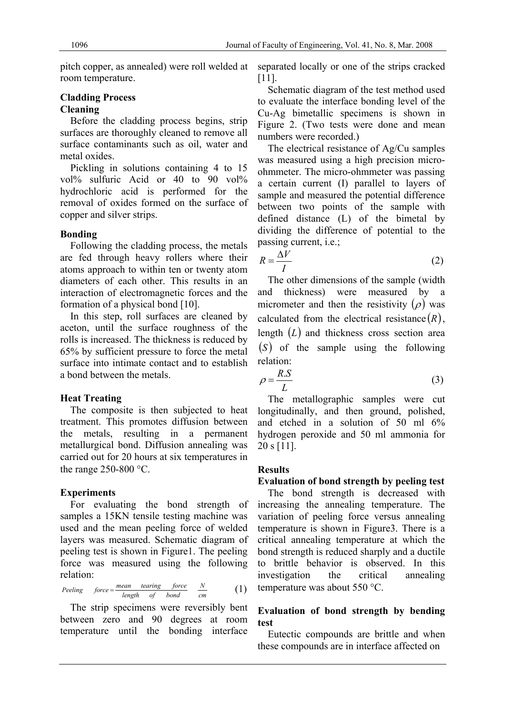room temperature.

## **Cladding Process Cleaning**

Before the cladding process begins, strip surfaces are thoroughly cleaned to remove all surface contaminants such as oil, water and metal oxides.

Pickling in solutions containing 4 to 15 vol% sulfuric Acid or 40 to 90 vol% hydrochloric acid is performed for the removal of oxides formed on the surface of copper and silver strips.

# **Bonding**

Following the cladding process, the metals are fed through heavy rollers where their atoms approach to within ten or twenty atom diameters of each other. This results in an interaction of electromagnetic forces and the formation of a physical bond [10].

In this step, roll surfaces are cleaned by aceton, until the surface roughness of the rolls is increased. The thickness is reduced by 65% by sufficient pressure to force the metal surface into intimate contact and to establish a bond between the metals.

# **Heat Treating**

The composite is then subjected to heat treatment. This promotes diffusion between the metals, resulting in a permanent metallurgical bond. Diffusion annealing was carried out for 20 hours at six temperatures in the range 250-800 °C.

# **Experiments**

For evaluating the bond strength of samples a 15KN tensile testing machine was used and the mean peeling force of welded layers was measured. Schematic diagram of peeling test is shown in Figure1. The peeling force was measured using the following relation:

Peeling 
$$
force = \frac{mean - tearing - force}{length - of - bond} \frac{N}{cm}
$$
 (1)

The strip specimens were reversibly bent between zero and 90 degrees at room temperature until the bonding interface

pitch copper, as annealed) were roll welded at separated locally or one of the strips cracked [11].

> Schematic diagram of the test method used to evaluate the interface bonding level of the Cu-Ag bimetallic specimens is shown in Figure 2. (Two tests were done and mean numbers were recorded.)

> The electrical resistance of Ag/Cu samples was measured using a high precision microohmmeter. The micro-ohmmeter was passing a certain current (I) parallel to layers of sample and measured the potential difference between two points of the sample with defined distance (L) of the bimetal by dividing the difference of potential to the passing current, i.e.;

$$
R = \frac{\Delta V}{I} \tag{2}
$$

The other dimensions of the sample (width and thickness) were measured by a micrometer and then the resistivity  $(\rho)$  was calculated from the electrical resistance  $(R)$ , length (*L*) and thickness cross section area (*S* ) of the sample using the following relation:

$$
\rho = \frac{R.S}{L} \tag{3}
$$

The metallographic samples were cut longitudinally, and then ground, polished, and etched in a solution of 50 ml 6% hydrogen peroxide and 50 ml ammonia for 20 s [11].

# **Results**

# **Evaluation of bond strength by peeling test**

The bond strength is decreased with increasing the annealing temperature. The variation of peeling force versus annealing temperature is shown in Figure3. There is a critical annealing temperature at which the bond strength is reduced sharply and a ductile to brittle behavior is observed. In this investigation the critical annealing temperature was about 550 °C.

# **Evaluation of bond strength by bending test**

Eutectic compounds are brittle and when these compounds are in interface affected on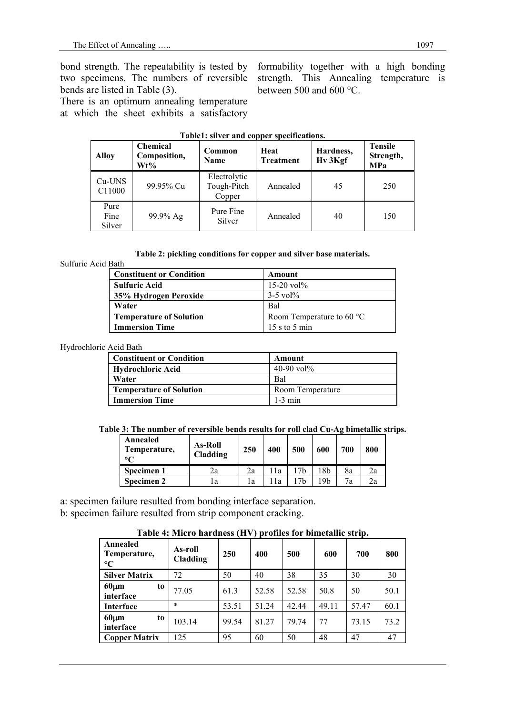bond strength. The repeatability is tested by two specimens. The numbers of reversible bends are listed in Table (3).

There is an optimum annealing temperature at which the sheet exhibits a satisfactory formability together with a high bonding strength. This Annealing temperature is between 500 and 600 °C.

| <b>Alloy</b>           | <b>Chemical</b><br>Composition,<br>Wt% | Common<br>Name                        | Heat<br><b>Treatment</b> | Hardness,<br>Hv 3Kgf | <b>Tensile</b><br>Strength,<br><b>MPa</b> |  |
|------------------------|----------------------------------------|---------------------------------------|--------------------------|----------------------|-------------------------------------------|--|
| $Cu$ -UNS<br>C11000    | 99.95% Cu                              | Electrolytic<br>Tough-Pitch<br>Copper | Annealed                 | 45                   | 250                                       |  |
| Pure<br>Fine<br>Silver | 99.9% Ag                               | Pure Fine<br>Silver                   | Annealed                 | 40                   | 150                                       |  |

#### **Table1: silver and copper specifications.**

#### **Table 2: pickling conditions for copper and silver base materials.**

#### Sulfuric Acid Bath

| <b>Constituent or Condition</b> | Amount                              |
|---------------------------------|-------------------------------------|
| <b>Sulfuric Acid</b>            | $15-20$ vol <sup>o</sup>            |
| 35% Hydrogen Peroxide           | $3-5$ vol <sup>o</sup>              |
| Water                           | Bal                                 |
| <b>Temperature of Solution</b>  | Room Temperature to 60 $^{\circ}$ C |
| <b>Immersion Time</b>           | 15 s to 5 min                       |

#### Hydrochloric Acid Bath

| <b>Constituent or Condition</b> | Amount                                |  |  |
|---------------------------------|---------------------------------------|--|--|
| <b>Hydrochloric Acid</b>        | 40-90 vol <sup>9</sup> / <sub>0</sub> |  |  |
| Water                           | Bal                                   |  |  |
| <b>Temperature of Solution</b>  | Room Temperature                      |  |  |
| <b>Immersion Time</b>           | $1-3$ min                             |  |  |

#### **Table 3: The number of reversible bends results for roll clad Cu-Ag bimetallic strips.**

| Annealed<br><b>As-Roll</b><br>Temperature,<br>Cladding<br>$\circ$ |     | 250 | 400 | 500 | 600  | 700 | 800 |
|-------------------------------------------------------------------|-----|-----|-----|-----|------|-----|-----|
| Specimen 1                                                        | 2a  | 2a  | 1a  |     | l 8b | 8a  | 2a  |
| Specimen 2                                                        | l a | 1a  | 1a  |     | 19h  | 7a  | 2a  |

a: specimen failure resulted from bonding interface separation.

b: specimen failure resulted from strip component cracking.

## **Table 4: Micro hardness (HV) profiles for bimetallic strip.**

| Annealed<br>Temperature,<br>$\rm ^{\circ}C$ | As-roll<br><b>Cladding</b> | 250   | 400   | 500   | 600   | 700   | 800  |
|---------------------------------------------|----------------------------|-------|-------|-------|-------|-------|------|
| <b>Silver Matrix</b>                        | 72                         | 50    | 40    | 38    | 35    | 30    | 30   |
| $60 \mu m$<br>to<br>interface               | 77.05                      | 61.3  | 52.58 | 52.58 | 50.8  | 50    | 50.1 |
| <b>Interface</b>                            | $\ast$                     | 53.51 | 51.24 | 42.44 | 49.11 | 57.47 | 60.1 |
| $60 \mu m$<br>to<br>interface               | 103.14                     | 99.54 | 81.27 | 79.74 | 77    | 73.15 | 73.2 |
| <b>Copper Matrix</b>                        | 125                        | 95    | 60    | 50    | 48    | 47    | 47   |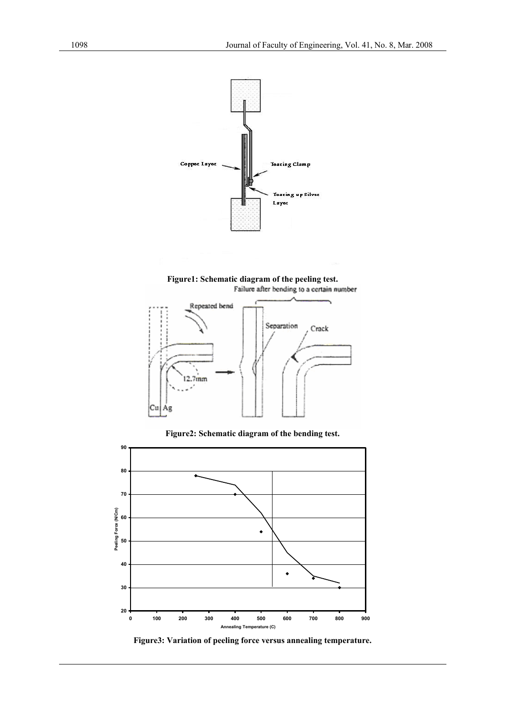

**Figure1: Schematic diagram of the peeling test.**  Failure after bending to a certain number



**Figure2: Schematic diagram of the bending test.** 



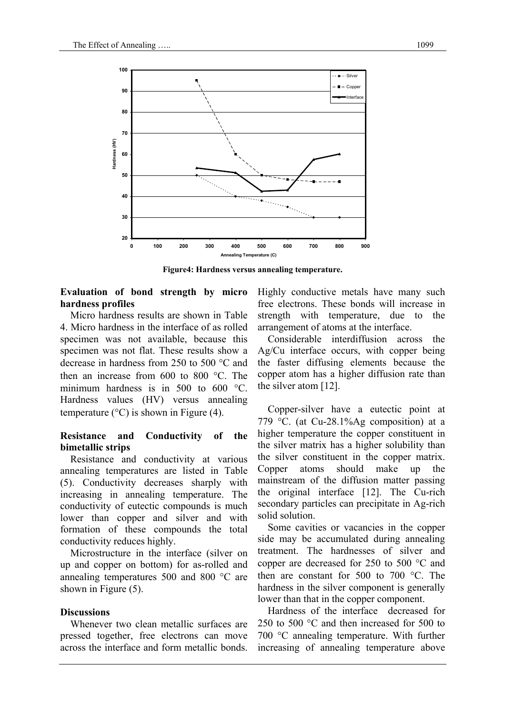

**Figure4: Hardness versus annealing temperature.** 

# **Evaluation of bond strength by micro hardness profiles**

Micro hardness results are shown in Table 4. Micro hardness in the interface of as rolled specimen was not available, because this specimen was not flat. These results show a decrease in hardness from 250 to 500 °C and then an increase from 600 to 800 °C. The minimum hardness is in 500 to 600 °C. Hardness values (HV) versus annealing temperature  $(^{\circ}C)$  is shown in Figure (4).

## **Resistance and Conductivity of the bimetallic strips**

Resistance and conductivity at various annealing temperatures are listed in Table (5). Conductivity decreases sharply with increasing in annealing temperature. The conductivity of eutectic compounds is much lower than copper and silver and with formation of these compounds the total conductivity reduces highly.

Microstructure in the interface (silver on up and copper on bottom) for as-rolled and annealing temperatures 500 and 800 °C are shown in Figure (5).

## **Discussions**

Whenever two clean metallic surfaces are pressed together, free electrons can move across the interface and form metallic bonds.

Highly conductive metals have many such free electrons. These bonds will increase in strength with temperature, due to the arrangement of atoms at the interface.

Considerable interdiffusion across the Ag/Cu interface occurs, with copper being the faster diffusing elements because the copper atom has a higher diffusion rate than the silver atom [12].

Copper-silver have a eutectic point at 779 °C. (at Cu-28.1%Ag composition) at a higher temperature the copper constituent in the silver matrix has a higher solubility than the silver constituent in the copper matrix. Copper atoms should make up the mainstream of the diffusion matter passing the original interface [12]. The Cu-rich secondary particles can precipitate in Ag-rich solid solution.

Some cavities or vacancies in the copper side may be accumulated during annealing treatment. The hardnesses of silver and copper are decreased for 250 to 500 °C and then are constant for 500 to 700 °C. The hardness in the silver component is generally lower than that in the copper component.

Hardness of the interface decreased for 250 to 500 °C and then increased for 500 to 700 °C annealing temperature. With further increasing of annealing temperature above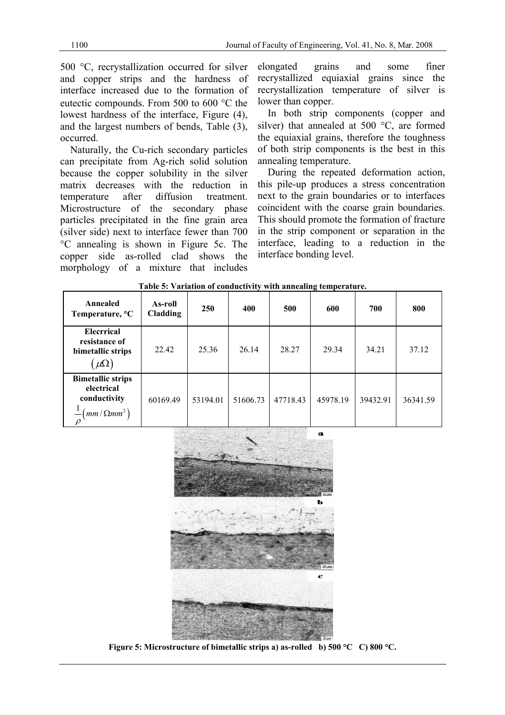500 °C, recrystallization occurred for silver and copper strips and the hardness of interface increased due to the formation of eutectic compounds. From 500 to 600 °C the lowest hardness of the interface, Figure (4), and the largest numbers of bends, Table (3), occurred.

Naturally, the Cu-rich secondary particles can precipitate from Ag-rich solid solution because the copper solubility in the silver matrix decreases with the reduction in temperature after diffusion treatment. Microstructure of the secondary phase particles precipitated in the fine grain area (silver side) next to interface fewer than 700 °C annealing is shown in Figure 5c. The copper side as-rolled clad shows the morphology of a mixture that includes

elongated grains and some finer recrystallized equiaxial grains since the recrystallization temperature of silver is lower than copper.

In both strip components (copper and silver) that annealed at 500 °C, are formed the equiaxial grains, therefore the toughness of both strip components is the best in this annealing temperature.

During the repeated deformation action, this pile-up produces a stress concentration next to the grain boundaries or to interfaces coincident with the coarse grain boundaries. This should promote the formation of fracture in the strip component or separation in the interface, leading to a reduction in the interface bonding level.

| <b>Fable 5.</b> Valiation of conductivity with annealing temperature.                                                           |                            |          |          |          |          |          |          |  |
|---------------------------------------------------------------------------------------------------------------------------------|----------------------------|----------|----------|----------|----------|----------|----------|--|
| Annealed<br>Temperature, <sup>o</sup> C                                                                                         | As-roll<br><b>Cladding</b> | 250      | 400      | 500      | 600      | 700      | 800      |  |
| <b>Elecrrical</b><br>resistance of<br>bimetallic strips<br>$\mu\Omega$                                                          | 22.42                      | 25.36    | 26.14    | 28.27    | 29.34    | 34.21    | 37.12    |  |
| <b>Bimetallic strips</b><br>electrical<br>conductivity<br>$\left($ <sub>mm</sub> $/\Omega$ <sub>mm</sub> <sup>2</sup> $\right)$ | 60169.49                   | 53194.01 | 51606.73 | 47718.43 | 45978.19 | 39432.91 | 36341.59 |  |

**Table 5: Variation of conductivity with annealing temperature.** 



**Figure 5: Microstructure of bimetallic strips a) as-rolled b) 500** °**C C) 800** °**C.**